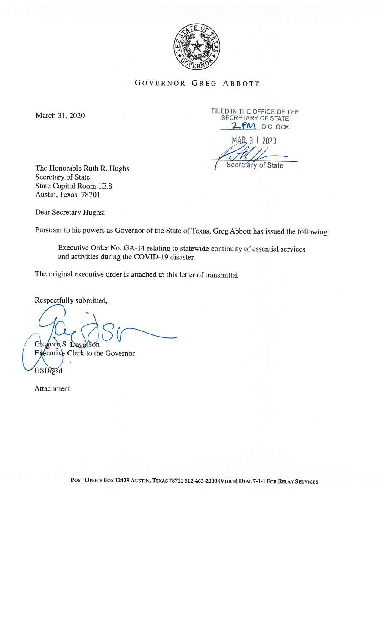

GOVERNOR GREG ABBOTT

March 31, 2020 FILED IN THE OFFICE OF THE MARCH 31, 2020 2 PM O'CLOCK

MAR<sub>3</sub> 1 2020

The Honorable Ruth R. Hughs (Secretary of State Secretary of State State Capitol Room lE.8 Austin, Texas 78701

Dear Secretary Hughs:

Pursuant to his powers as Governor of the State of Texas, Greg Abbott has issued the following:

Executive Order No. GA-14 relating to statewide continuity of essential services and activities during the COVID-19 disaster.

The original executive order is attached to this letter of transmittal.

Respectfully submitted,

 $\sim$   $\sim$ 

Executive Clerk to the Governor GSD/gsd

Attachment

POST OFFICE Box <sup>12428</sup> AUSTIN, TEXAS 78711 512-463-2000 (VOICE) DIAL 7-1-1 foR RELAY SERVICES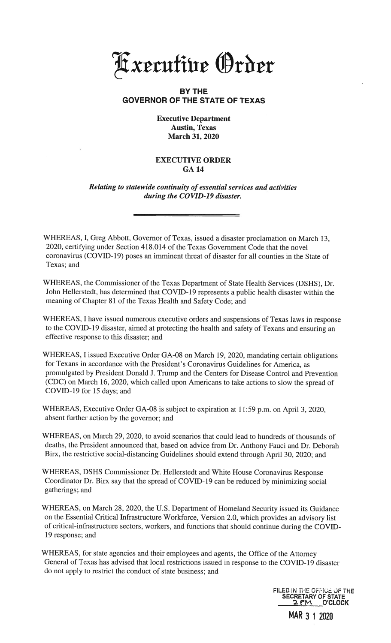xrcufhir Irbir

## BY THE GOVERNOR OF THE STATE OF TEXAS

Executive Department Austin, Texas March 31, 2020

## EXECUTIVE ORDER GA14

Relating to statewide continuity of essential services and activities during the COVID-19 disaster.

WHEREAS, I, Greg Abbott, Governor of Texas, issued a disaster proclamation on March 13, 2020, certifying under Section 418.0 14 of the Texas Government Code that the novel coronavirus (COVID- 19) poses an imminent threat of disaster for all counties in the State of Texas; and

WHEREAS, the Commissioner of the Texas Department of State Health Services (DSHS), Dr. John Hellerstedt, has determined that COVID-19 represents a public health disaster within the meaning of Chapter 81 of the Texas Health and Safety Code; and

WHEREAS., <sup>I</sup> have issued numerous executive orders and suspensions of Texas laws in response to the COVID-l9 disaster, aimed at protecting the health and safety of Texans and ensuring an effective response to this disaster; and

WHEREAS, I issued Executive Order GA-08 on March 19, 2020, mandating certain obligations for Texans in accordance with the President's Coronavirus Guidelines for America, as promulgated by President Donald J. Trump and the Centers for Disease Control and Prevention (CDC) on March 16, 2020, which called upon Americans to take actions to slow the spread of COVID-19 for 15 days; and

WHEREAS, Executive Order GA-08 is subject to expiration at 11:59 p.m. on April 3, 2020, absent further action by the governor; and

WHEREAS, on March 29, 2020, to avoid scenarios that could lead to hundreds of thousands of deaths, the President announced that, based on advice from Dr. Anthony Fauci and Dr. Deborah Birx, the restrictive social-distancing Guidelines should extend through April 30, 2020; and

WHEREAS, DSHS Commissioner Dr. Hellerstedt and White House Coronavirus Response Coordinator Dr. Birx say that the spread of COVID- 19 can be reduced by minimizing social gatherings;, and

WHEREAS, on March 28, 2020, the U.S. Department of Homeland Security issued its Guidance on the Essential Critical Infrastructure Workforce, Version 2.0, which provides an advisory list of critical-infrastructure sectors, workers, and functions that should continue during the COVID 19 response; and

WHEREAS, for state agencies and their employees and agents, the Office of the Attorney General of Texas has advised that local restrictions issued in response to the COVD- 19 disaster do not apply to restrict the conduct of state business; and

> FILED IN THE OFFICE OF THE SECRETARY OF STATE O'CLOCK

> > MAR 3 1 2020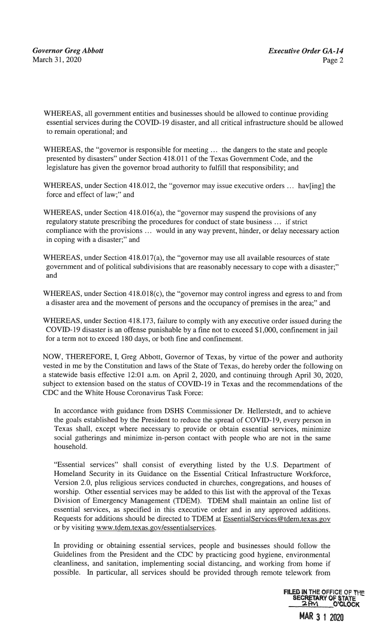WHEREAS, all government entities and businesses should be allowed to continue providing essential services during the COVID-19 disaster, and all critical infrastructure should be allowed to remain operational; and

WHEREAS, the "governor is responsible for meeting ... the dangers to the state and people presented by disasters" under Section 418.011 of the Texas Government Code, and the legislature has given the governor broad authority to fulfill that responsibility; and

WHEREAS, under Section 418.012, the "governor may issue executive orders ... hav[ing] the force and effect of law;" and

WHEREAS, under Section 418.016(a), the "governor may suspend the provisions of any regulatory statute prescribing the procedures for conduct of state business ... if strict compliance with the provisions ... would in any way prevent, hinder, or delay necessary action in coping with a disaster;" and

WHEREAS, under Section 418.017(a), the "governor may use all available resources of state government and of political subdivisions that are reasonably necessary to cope with a disaster;" and

WHEREAS, under Section 418.018(c), the "governor may control ingress and egress to and from a disaster area and the movement of persons and the occupancy of premises in the area;" and

WHEREAS, under Section 418.173, failure to comply with any executive order issued during the COVD-19 disaster is an offense punishable by a fine not to exceed \$1,000, confinement in jail for a term not to exceed 180 days, or both fine and confinement.

NOW, THEREFORE, I, Greg Abbott, Governor of Texas, by virtue of the power and authority vested in me by the Constitution and laws of the State of Texas, do hereby order the following on a statewide basis effective 12:01 a.m. on April 2, 2020, and continuing through April 30, 2020, subject to extension based on the status of COVID-19 in Texas and the recommendations of the CDC and the White House Coronavirus Task Force:

In accordance with guidance from DSHS Commissioner Dr. Hellerstedt, and to achieve the goals established by the President to reduce the spread of COVD-19, every person in Texas shall, except where necessary to provide or obtain essential services, minimize social gatherings and minimize in-person contact with people who are not in the same household.

"Essential services" shall consist of everything listed by the U.S. Department of Homeland Security in its Guidance on the Essential Critical Infrastructure Workforce, Version 2.0, plus religious services conducted in churches, congregations, and houses of worship. Other essential services may be added to this list with the approval of the Texas Division of Emergency Management (TDEM). TDEM shall maintain an online list of essential services, as specified in this executive order and in any approved additions. Requests for additions should be directed to TDEM at EssentialServices@tdem.texas.gov or by visiting www.tdem.texas.gov/essentialservices.

In providing or obtaining essential services, people and businesses should follow the Guidelines from the President and the CDC by practicing good hygiene, environmental cleanliness, and sanitation, implementing social distancing, and working from home if possible. In particular, all services should be provided through remote telework from

> **FILED IN THE OFFICE OF THE** SECRETARY OF STATE<br>2PM O'CLOCK

> > MAR 3 1 2020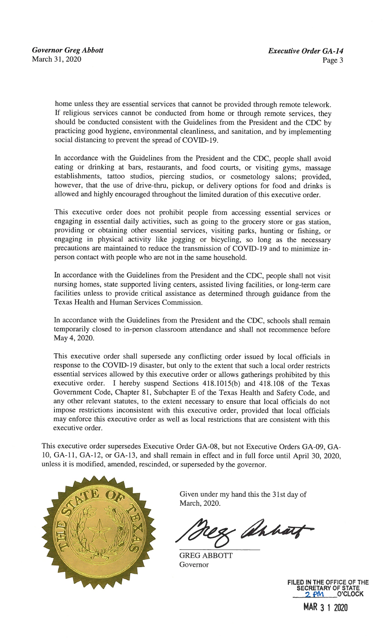home unless they are essential services that cannot be provided through remote telework. If religious services cannot be conducted from home or through remote services, they should be conducted consistent with the Guidelines from the President and the CDC by practicing good hygiene, environmental cleanliness, and sanitation, and by implementing social distancing to prevent the spread of COVID-19.

In accordance with the Guidelines from the President and the CDC, people shall avoid eating or drinking at bars, restaurants, and food courts, or visiting gyms, massage establishments, tattoo studios, piercing studios, or cosmetology salons; provided, however, that the use of drive-thru, pickup, or delivery options for food and drinks is allowed and highly encouraged throughout the limited duration of this executive order.

This executive order does not prohibit people from accessing essential services or engaging in essential daily activities, such as going to the grocery store or gas station, providing or obtaining other essential services, visiting parks, hunting or fishing, or engaging in physical activity like jogging or bicycling, so long as the necessary precautions are maintained to reduce the transmission of COVID- 19 and to minimize inperson contact with people who are not in the same household.

In accordance with the Guidelines from the President and the CDC, people shall not visit nursing homes, state supported living centers, assisted living facilities, or long-term care facilities unless to provide critical assistance as determined through guidance from the Texas Health and Human Services Commission.

In accordance with the Guidelines from the President and the CDC, schools shall remain temporarily closed to in-person classroom attendance and shall not recommence before May 4, 2020.

This executive order shall supersede any conflicting order issued by local officials in response to the COVD-19 disaster, but only to the extent that such a local order restricts essential services allowed by this executive order or allows gatherings prohibited by this executive order. <sup>I</sup> hereby suspend Sections 418.1015(b) and 418.108 of the Texas Government Code, Chapter 81, Subchapter E of the Texas Health and Safety Code, and any other relevant statutes, to the extent necessary to ensure that local officials do not impose restrictions inconsistent with this executive order, provided that local officials may enforce this executive order as well as local restrictions that are consistent with this executive order.

This executive order supersedes Executive Order GA-08, but not Executive Orders GA-09, GA-10, GA-li, GA-12, or GA-13, and shall remain in effect and in full force until April 30, 2020, unless it is modified, amended, rescinded, or superseded by the governor.



Given under my hand this the 31st day of March, 2020.

& ahhart

GREG ABBOTT Governor



MAR 3 1 2020